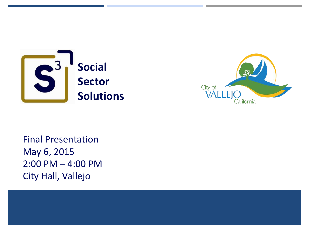



Final Presentation May 6, 2015 2:00 PM – 4:00 PM City Hall, Vallejo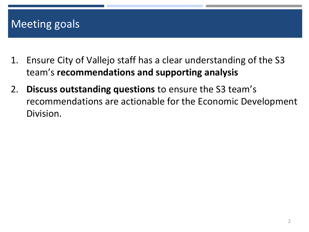## Meeting goals

- 1. Ensure City of Vallejo staff has a clear understanding of the S3 team's recommendations and supporting analysis
- 2. Discuss outstanding questions to ensure the S3 team's recommendations are actionable for the Economic Development Division.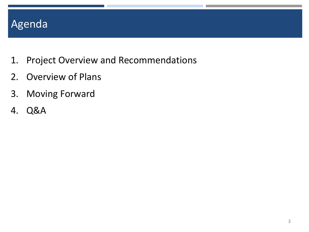## Agenda

- 1. Project Overview and Recommendations
- 2. Overview of Plans
- 3. Moving Forward
- 4. Q&A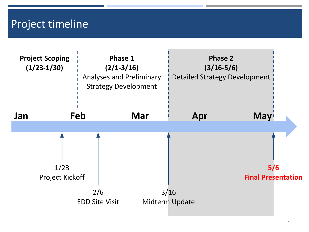### Project timeline

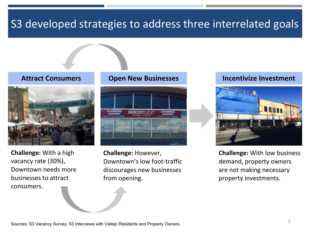## S3 developed strategies to address three interrelated goals



Challenge: With a high vacancy rate (30%), Downtown needs more businesses to attract consumers.



Challenge: However, Downtown's low foot-traffic discourages new businesses from opening.

#### Attract Consumers **Open New Businesses** Incentivize Investment



Challenge: With low business demand, property owners are not making necessary property investments.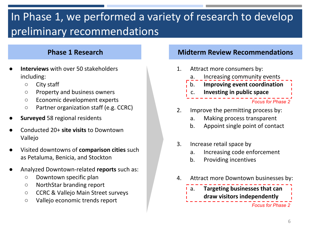# In Phase 1, we performed a variety of research to develop preliminary recommendations

- Interviews with over 50 stakeholders including:
	- City staff
	- Property and business owners
	- Economic development experts
	- Partner organization staff (e.g. CCRC)
- **Surveyed 58 regional residents**
- Conducted 20+ site visits to Downtown Vallejo
- Visited downtowns of **comparison cities** such as Petaluma, Benicia, and Stockton
- Analyzed Downtown-related reports such as:
	- Downtown specific plan
	- NorthStar branding report
	- CCRC & Vallejo Main Street surveys
	- Vallejo economic trends report

#### **Phase 1 Research Midterm Review Recommendations**



#### 2. Improve the permitting process by:

- a. Making process transparent
- b. Appoint single point of contact
- 3. Increase retail space by
	- a. Increasing code enforcement
	- b. Providing incentives
- 4. Attract more Downtown businesses by:

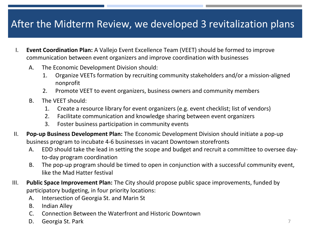### After the Midterm Review, we developed 3 revitalization plans

- I. Event Coordination Plan: A Vallejo Event Excellence Team (VEET) should be formed to improve communication between event organizers and improve coordination with businesses
	- A. The Economic Development Division should:
		- 1. Organize VEETs formation by recruiting community stakeholders and/or a mission-aligned nonprofit
		- 2. Promote VEET to event organizers, business owners and community members
	- B. The VEET should:
		- 1. Create a resource library for event organizers (e.g. event checklist; list of vendors)
		- 2. Facilitate communication and knowledge sharing between event organizers
		- 3. Foster business participation in community events
- II. Pop-up Business Development Plan: The Economic Development Division should initiate a pop-up business program to incubate 4-6 businesses in vacant Downtown storefronts
	- A. EDD should take the lead in setting the scope and budget and recruit a committee to oversee dayto-day program coordination
	- B. The pop-up program should be timed to open in conjunction with a successful community event, like the Mad Hatter festival
- III. Public Space Improvement Plan: The City should propose public space improvements, funded by participatory budgeting, in four priority locations:
	- A. Intersection of Georgia St. and Marin St
	- B. Indian Alley
	- C. Connection Between the Waterfront and Historic Downtown
	- D. Georgia St. Park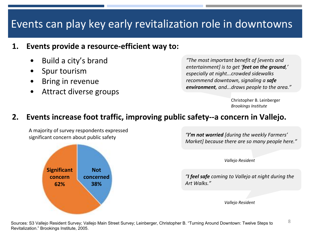## Events can play key early revitalization role in downtowns

### 1. Events provide a resource-efficient way to:

- Build a city's brand
- Spur tourism
- **Bring in revenue**
- Attract diverse groups

"The most important benefit of [events and entertainment] is to get 'feet on the ground,' especially at night...crowded sidewalks recommend downtown, signaling a safe environment, and...draws people to the area."

> Christopher B. Leinberger Brookings Institute

### 2. Events increase foot traffic, improving public safety--a concern in Vallejo.

A majority of survey respondents expressed significant concern about public safety



"I'm not worried [during the weekly Farmers' Market] because there are so many people here."

Vallejo Resident

"I feel safe coming to Vallejo at night during the Art Walks."

Vallejo Resident

8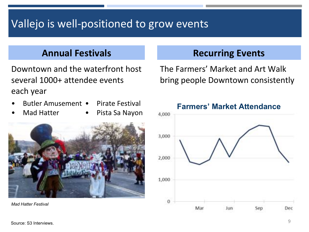# Vallejo is well-positioned to grow events

Downtown and the waterfront host several 1000+ attendee events each year

- Butler Amusement Pirate Festival
- Mad Hatter

• Pista Sa Nayon



Mad Hatter Festival

### Annual Festivals **Recurring Events**

The Farmers' Market and Art Walk bring people Downtown consistently

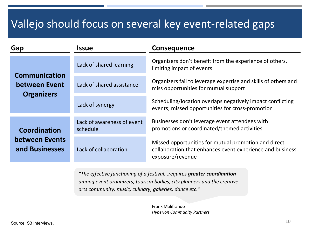## Vallejo should focus on several key event-related gaps

| Gap                                                        | Issue                                  | <b>Consequence</b>                                                                                                                    |  |
|------------------------------------------------------------|----------------------------------------|---------------------------------------------------------------------------------------------------------------------------------------|--|
|                                                            | Lack of shared learning                | Organizers don't benefit from the experience of others,<br>limiting impact of events                                                  |  |
| <b>Communication</b><br>between Event<br><b>Organizers</b> | Lack of shared assistance              | Organizers fail to leverage expertise and skills of others and<br>miss opportunities for mutual support                               |  |
|                                                            | Lack of synergy                        | Scheduling/location overlaps negatively impact conflicting<br>events; missed opportunities for cross-promotion                        |  |
| Coordination                                               | Lack of awareness of event<br>schedule | Businesses don't leverage event attendees with<br>promotions or coordinated/themed activities                                         |  |
| between Events<br>and Businesses                           | Lack of collaboration                  | Missed opportunities for mutual promotion and direct<br>collaboration that enhances event experience and business<br>exposure/revenue |  |

"The effective functioning of a festival...requires greater coordination among event organizers, tourism bodies, city planners and the creative arts community: music, culinary, galleries, dance etc."

> Frank Malifrando Hyperion Community Partners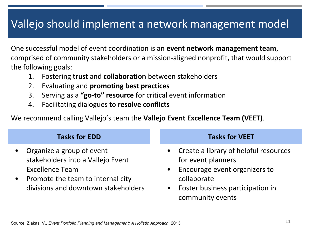## Vallejo should implement a network management model

One successful model of event coordination is an event network management team, comprised of community stakeholders or a mission-aligned nonprofit, that would support the following goals:

- 1. Fostering trust and collaboration between stakeholders
- 2. Evaluating and promoting best practices
- 3. Serving as a "go-to" resource for critical event information
- 4. Facilitating dialogues to resolve conflicts

We recommend calling Vallejo's team the **Vallejo Event Excellence Team (VEET)**.

### Tasks for EDD Tasks for VEET

- Organize a group of event stakeholders into a Vallejo Event Excellence Team
- Promote the team to internal city divisions and downtown stakeholders

- Create a library of helpful resources for event planners
- Encourage event organizers to collaborate
- Foster business participation in community events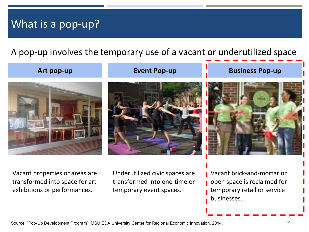## What is a pop-up?

A pop-up involves the temporary use of a vacant or underutilized space

#### Art pop-up **Event Pop-up Event Pop-up Event Pop-up**







Vacant properties or areas are transformed into space for art exhibitions or performances.

Underutilized civic spaces are transformed into one-time or temporary event spaces.

Vacant brick-and-mortar or open space is reclaimed for temporary retail or service businesses.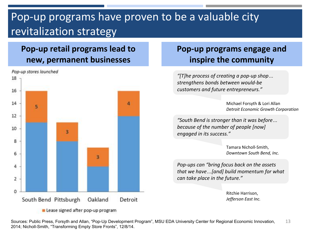## Pop-up programs have proven to be a valuable city revitalization strategy

### Pop-up retail programs lead to new, permanent businesses



Lease signed after pop-up program

### Pop-up programs engage and inspire the community

"[T]he process of creating a pop-up shop… strengthens bonds between would-be customers and future entrepreneurs."

> Michael Forsyth & Lori Allan Detroit Economic Growth Corporation

"South Bend is stronger than it was before… because of the number of people [now] engaged in its success."

> Tamara Nicholl-Smith, Downtown South Bend, Inc.

Pop-ups can "bring focus back on the assets that we have…[and] build momentum for what can take place in the future."

> Ritchie Harrison, Jefferson East Inc.

13 Sources: Public Press, Forsyth and Allan, "Pop-Up Development Program", MSU EDA University Center for Regional Economic Innovation, 2014; Nicholl-Smith, "Transforming Empty Store Fronts", 12/8/14.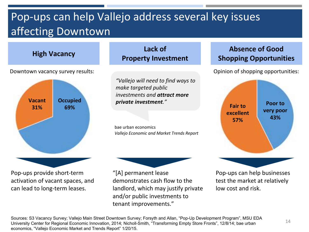## Pop-ups can help Vallejo address several key issues affecting Downtown

Downtown vacancy survey results:



Pop-ups provide short-term activation of vacant spaces, and can lead to long-term leases.

High Vacancy Lack of Property Investment

> "Vallejo will need to find ways to make targeted public investments and attract more private investment."

bae urban economics Vallejo Economic and Market Trends Report



"[A] permanent lease demonstrates cash flow to the landlord, which may justify private and/or public investments to tenant improvements."

### Absence of Good Shopping Opportunities

Opinion of shopping opportunities:



Pop-ups can help businesses test the market at relatively low cost and risk.

Sources: S3 Vacancy Survey; Vallejo Main Street Downtown Survey; Forsyth and Allan, "Pop-Up Development Program", MSU EDA University Center for Regional Economic Innovation, 2014; Nicholl-Smith, "Transforming Empty Store Fronts", 12/8/14; bae urban economics, "Vallejo Economic Market and Trends Report" 1/20/15.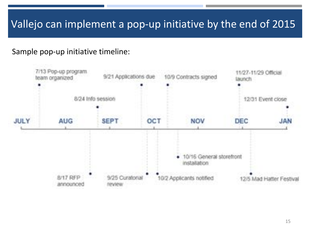## Vallejo can implement a pop-up initiative by the end of 2015

### Sample pop-up initiative timeline:

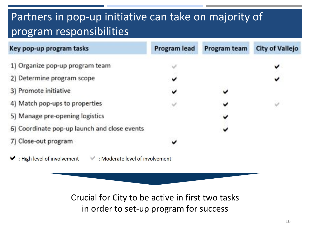## Partners in pop-up initiative can take on majority of program responsibilities

| Key pop-up program tasks                                                             | <b>Program lead</b> | Program team | <b>City of Vallejo</b> |
|--------------------------------------------------------------------------------------|---------------------|--------------|------------------------|
| 1) Organize pop-up program team                                                      |                     |              | v                      |
| 2) Determine program scope                                                           | v                   |              | v                      |
| 3) Promote initiative                                                                | v                   |              |                        |
| 4) Match pop-ups to properties                                                       |                     |              | Ŵ                      |
| 5) Manage pre-opening logistics                                                      |                     |              |                        |
| 6) Coordinate pop-up launch and close events                                         |                     |              |                        |
| 7) Close-out program                                                                 | ✓                   |              |                        |
| $\blacktriangleright$ : High level of involvement<br>: Moderate level of involvement |                     |              |                        |

Crucial for City to be active in first two tasks in order to set-up program for success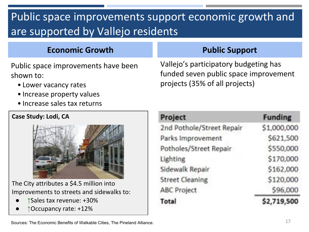# Public space improvements support economic growth and are supported by Vallejo residents

### Economic Growth **Public Support**

Public space improvements have been shown to:

- Lower vacancy rates
- Increase property values
- Increase sales tax returns

#### Case Study: Lodi, CA



The City attributes a \$4.5 million into Improvements to streets and sidewalks to:

- ↑Sales tax revenue: +30%
- Occupancy rate: +12%

Vallejo's participatory budgeting has funded seven public space improvement projects (35% of all projects)

| Project                   | <b>Funding</b> |  |
|---------------------------|----------------|--|
| 2nd Pothole/Street Repair | \$1,000,000    |  |
| Parks Improvement         | \$621,500      |  |
| Potholes/Street Repair    | \$550,000      |  |
| Lighting                  | \$170,000      |  |
| Sidewalk Repair           | \$162,000      |  |
| <b>Street Cleaning</b>    | \$120,000      |  |
| ABC Project               | \$96,000       |  |
| Total                     | \$2,719,500    |  |

Sources: The Economic Benefits of Walkable Cities, The Pineland Alliance.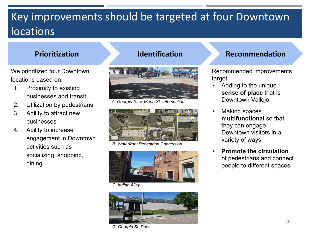## Key improvements should be targeted at four Downtown locations

We prioritized four Downtown locations based on:

- 1. Proximity to existing businesses and transit
- 2. Utilization by pedestrians
- 3. Ability to attract new businesses
- 4. Ability to increase engagement in Downtown activities such as socializing, shopping, dining



A. Georgia St. & Marin St. Intersection



B. Waterfront Pedestrian Connection



C. Indian Alley



#### D. Georgia St. Park

#### Prioritization **Identification** Recommendation

Recommended improvements target:

- Adding to the unique sense of place that is Downtown Vallejo.
- Making spaces multifunctional so that they can engage Downtown visitors in a variety of ways.
- Promote the circulation of pedestrians and connect people to different spaces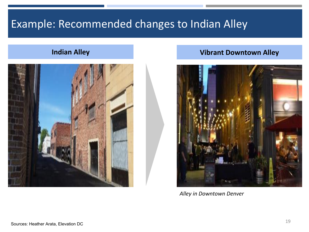## Example: Recommended changes to Indian Alley



#### **Indian Alley Community Community Community** Community Vibrant Downtown Alley



Alley in Downtown Denver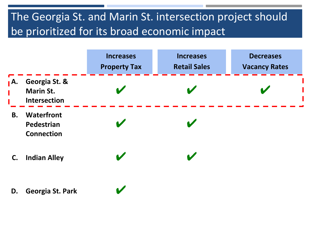## The Georgia St. and Marin St. intersection project should be prioritized for its broad economic impact

|            |                                                   | <b>Increases</b><br><b>Property Tax</b> | <b>Increases</b><br><b>Retail Sales</b> | <b>Decreases</b><br><b>Vacancy Rates</b> |
|------------|---------------------------------------------------|-----------------------------------------|-----------------------------------------|------------------------------------------|
| <b>』A.</b> | Georgia St. &<br><b>Marin St.</b><br>Intersection |                                         |                                         |                                          |
| <b>B.</b>  | Waterfront<br>Pedestrian<br><b>Connection</b>     |                                         |                                         |                                          |
| C.         | <b>Indian Alley</b>                               |                                         |                                         |                                          |
| D.         | Georgia St. Park                                  |                                         |                                         |                                          |